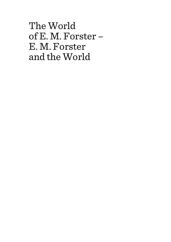The World of E. M. Forster – E. M. Forster and the World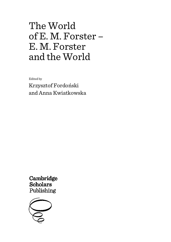# The World of E. M. Forster – E. M. Forster and the World

Edited by

Krzysztof Fordoński and Anna Kwiatkowska

Cambridge **Scholars** Publishing

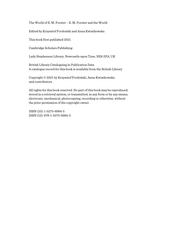The World of E. M. Forster – E. M. Forster and the World

Edited by Krzysztof Fordoński and Anna Kwiatkowska

This book first published 2021

Cambridge Scholars Publishing

Lady Stephenson Library, Newcastle upon Tyne, NE6 2PA, UK

British Library Cataloguing in Publication Data A catalogue record for this book is available from the British Library

Copyright © 2021 by Krzysztof Fordoński, Anna Kwiatkowska and contributors

All rights for this book reserved. No part of this book may be reproduced, stored in a retrieval system, or transmitted, in any form or by any means, electronic, mechanical, photocopying, recording or otherwise, without the prior permission of the copyright owner.

ISBN (10): 1-5275-6984-5 ISBN (13): 978-1-5275-6984-3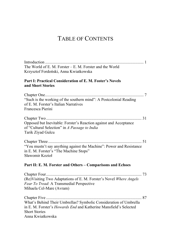## TABLE OF CONTENTS

Introduction ................................................................................................ 1 The World of E. M. Forster – E. M. Forster and the World Krzysztof Fordoński, Anna Kwiatkowska

### **Part I: Practical Consideration of E. M. Foster's Novels and Short Stories**

Chapter One................................................................................................ 7 "Such is the working of the southern mind": A Postcolonial Reading of E. M. Forster's Italian Narratives Francesca Pierini

Chapter Two ............................................................................................. 31 Opposed but Inevitable: Forster's Reaction against and Acceptance of "Cultural Selection" in *A Passage to India* Tarik Ziyad Gulcu

Chapter Three ........................................................................................... 51 "You mustn't say anything against the Machine": Power and Resistance in E. M. Forster's "The Machine Stops" Sławomir Kozioł

### **Part II: E. M. Forster and Others – Comparisons and Echoes**

Chapter Four............................................................................................. 73 (Re)Visiting Two Adaptations of E. M. Forster's Novel *Where Angels Fear To Tread*: A Transmedial Perspective Mihaela Cel-Mare (Avram)

Chapter Five ............................................................................................. 87 What's Behind Their Umbrellas? Symbolic Consideration of Umbrella in E. M. Forster's *Howards End* and Katherine Mansfield's Selected Short Stories Anna Kwiatkowska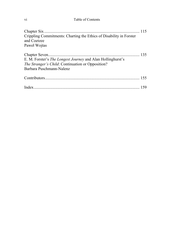### vi Table of Contents

| Crippling Commitments: Charting the Ethics of Disability in Forster<br>and Coetzee                                                           |  |
|----------------------------------------------------------------------------------------------------------------------------------------------|--|
| Paweł Wojtas                                                                                                                                 |  |
| E. M. Forster's The Longest Journey and Alan Hollinghurst's<br>The Stranger's Child: Continuation or Opposition?<br>Barbara Puschmann-Nalenz |  |
|                                                                                                                                              |  |
|                                                                                                                                              |  |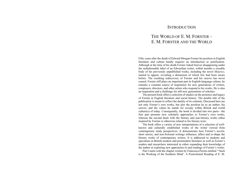## **INTRODUCTION**

## THE WORLD OF E. M. FORSTER – E. M. FORSTER AND THE WORLD

Fifty years after the death of Edward Morgan Forster his position in English literature and culture hardly requires an introduction or justification. Although at the time of his death Forster risked forever disappearing under the unfashionable label of an Edwardian writer, within months a sizeable body of his previously unpublished works, including the novel *Maurice*, started to appear, revealing a dimension of which few had been aware before. The resulting rediscovery of Forster and his oeuvre has never ceased. Forster still plays an important part in English-language culture; he remains a constant source of inspiration for new generations of writers, composers, directors, and other artists who respond to his works. He is also an inspiration and a challenge for still new generations of scholars.

The present book offers a selection of studies on the presence and legacy of Forster in English literature and social history. The double title of the publication is meant to reflect the duality of its contents. Discussed here are not only Forster's own works, but also the position he as an author, his oeuvre, and the values he stands for occupy within British and world culture(s) of today. Consequently, the book is divided into two parts—the first part presents new scholarly approaches to Forster's own works, whereas the second deals with the literary and non-literary works either inspired by Forster or otherwise related to his literary texts.

The book offers a variety of new interpretations of a selection of wellknown and culturally established works of the writer viewed from contemporary study perspectives. It demonstrates how Forster's novels, short stories, and non-fictional writings influence, affect and re-shape the literary works of contemporary writers. It is addressed to students and specialists in British modern and postmodern literature as well as Forster's readers and researchers interested in either expanding their knowledge of the author or exploring new approaches to and readings of Forster's works.

Part I starts with the chapter written by Francesca Pierini entitled "'Such is the Working of the Southern Mind'. A Postcolonial Reading of E. M.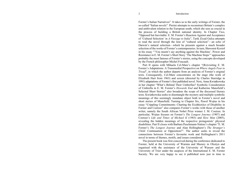#### Introduction

Forster's Italian Narratives". It takes us to the early writings of Forster, the so-called "Italian novels". Pierini attempts to reconstruct Britain's complex and ambivalent relation to the European south, which she sees as crucial in the process of building a British national identity. In Chapter Two, "Opposed but Inevitable: E. M. Forster's Reaction Against and Acceptance of 'Cultural Selection' in *A Passage to India*", Tarik Ziyad Gulcu attempts to read the novel through the lens of "cultural selection"—an echo of Darwin's natural selection—which he presents against a much broader selection of the works of Forster's contemporaries. In turn, Sławomir Kozioł in his essay "'You mustn't say anything against the Machine'. Power and Resistance in E. M. Forster's Short Story 'The Machine Stops'" approaches probably the most famous of Forster's stories, using the concepts developed by the French philosopher Michel Foucault.

Part II opens with Mihaela Cel-Mare's chapter "(Re)visiting E. M. Forster's Adaptations. A Transmedial Perspective on *Where Angels Fear to Tread*", in which the author departs from an analysis of Forster's original texts. Consequently, Cel-Mare concentrates on the stage (the work of Elizabeth Hart from 1963) and screen (directed by Charles Sturridge in 1991) adaptations of Forster's first published novel. Next, Anna Kwiatkowska in her chapter "What's Behind Their Umbrellas? Symbolic Consideration of Umbrella in E. M. Forster's *Howards End* and Katherine Mansfield's Selected Short Stories" also broadens the scope of the discussed literary texts. Kwiatkowska seeks to disentangle the mystery and multiple symbolic meanings of this seemingly mundane object both in Forster's novel and short stories of Mansfield. Turning to Chapter Six, Paweł Wojtas in his essay "Crippling Commitments: Charting the E(s)th(et)ics of Disability in Forster and Coetzee" also compares Forster's works with those of another writer, namely the South African Nobel Prize winner J. M. Coetzee. In particular, Wojtas focuses on Forster's *The Longest Journey* (1907) and Coetzee's *Life and Times of Michael K* (1983) and *Slow Man* (2005), revealing the hidden meanings of the respective protagonists' physical disabilities. Part II closes with Barbara Puschmann-Nalenz's chapter "E. M. Forster's *The Longest Journey* and Alan Hollinghurst's *The Stranger's Child*: Continuation or Opposition?". The author seeks to reveal the connections between Forster's favourite work and Hollinghurst's 2011 novel in terms of themes, motifs, and issues considered.

The present book was first conceived during the conference dedicated to Forster, held at the University of Warmia and Mazury in Olsztyn and organised with the assistance of the University of Warsaw and the University of Trier under the auspices of the International E. M. Forster Society. We are very happy to see it published now just in time to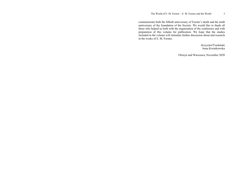commemorate both the fiftieth anniversary of Forster's death and the tenth anniversary of the foundation of the Society. We would like to thank all those who helped us both with the organisation of the conference and with preparation of this volume for publication. We hope that the studies included in the volume will stimulate further discussion about and research in the works of E. M. Forster.

> Krzysztof Fordo ński Anna Kwiatkowska

Olsztyn and Warszawa, November 2020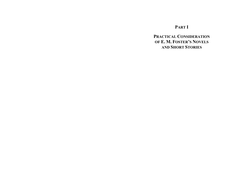## **PART I**

## **PRACTICAL CONSIDERATION OF E. M. FOSTER'S NOVELS AND SHORT STORIES**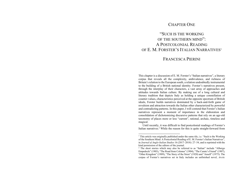## CHAPTER ONE

## "SUCH IS THE WORKING OF THE SOUTHERN MIND":A POSTCOLONIAL READING OF E. M. FORSTER'S ITALIAN NARRATIVES1

## FRANCESCA PIERINI

This chapter is a discussion of E. M. Forster's "Italian narratives", a literary corpus that reveals all the complexity, ambivalence, and richness of Britain's relation to the European south, a relation undoubtedly instrumental to the building of a British national identity. Forster's narratives present, through the interplay of their characters, a vast array of approaches and attitudes towards Italian culture. By making use of a long cultural and literary tradition that depicts Italy as holding a unique constellation of counter-values, characteristics perceived at the opposite spectrum of British ideals, Forster builds narratives dominated by a back-and-forth game of revulsion and attraction towards the Italian other characterized by powerful and contradicting patterns. In this paper, I will contend that Forster's Italian narratives represent a moment of importance in the elaboration and consolidation of dichotomizing discursive patterns that rely on an age-old taxonomy of places more or less "current", rational, archaic, timeless and magical.

Until recently, it was difficult to find postcolonial readings of Forster's Italian narratives.2 While the reason for this is quite straight-forward from

<sup>&</sup>lt;sup>1</sup> This article was originally published under the same tile, i.e. "Such is the Working" of the Southern Mind: A Postcolonial Reading of E. M. Forster's Italian Narratives", in *Journal of Anglo-Italian Studies* 16 (2017–2018): 27–54, and is reprinted with the kind permission of the editors of the journal.

<sup>2</sup> The short stories which may also be referred to as "Italian" include "Albergo Empedocle" (1903), "The Road from Colonus" (1904), "The Curate's Friend" (1907), "Other Kingdom" (1909), "The Story of the Siren" (1920) and "Ansell" (1975). The corpus of Forster's narratives set in Italy includes an unfinished novel, *Arctic*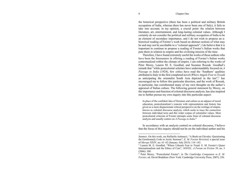#### Chapter One

the historical perspective (there has been a political and military British occupation of India, whereas there has never been one of Italy), it fails to take into account, in my opinion, a crucial point: the relation between literature, art, entertainment, and long-lasting colonial values. Although I certainly do not consider the political and military occupation of India to be an element of secondary importance, and I do not wish to propose an ahistorical reading of Forster's work based on abstract notions of what may be and may not be ascribable to a "colonial approach", I do believe that it is important to continue to propose a reading of Forster's Italian works that puts them in relation to empire and the civilizing mission of the time.

Therefore, I have found extremely useful the works of those authors who have been the forerunners in offering a reading of Forster's Italian works contextualized within the climate of empire. I am referring to the works of Peter Morey, Lauren M. E. Goodlad, and Suzanne Roszak. Goodlad's remark that "while postcolonial scholars have understandably focused on *A Passage to India* (1924), few critics have read the 'Southern' qualities attributed to Italy in the first completed novel (*Where Angels Fear to Tread*) as anticipating the orientalist South Asia depicted in the last", $3$  has encouraged me to follow this particular direction, and the work of Roszak, in particular, has corroborated many of my own thoughts on the author's appraisal of Italian culture. The following general statement by Morey, on the importance and function of colonial discourse analysis, has also inspired me to further pursue my own inquiry into this particular aspect:

In place of the confident idea of literature and culture as an adjunct of moral education, postcolonialism's concern with representation and history has given us a more dispassionate critical perspective on the writings of empire, known as colonial discourse analysis, which seeks to trace the connection between individual texts and this wider corpus of colonialist values. Most postcolonial criticism of Forster attempts some form of colonial discourse analysis and usually centers on *A Passage to India*.<sup>4</sup>

In accordance with an analysis centred on colonial discourse, I believe that the focus of this inquiry should not be on the individual author and his

*Summer*. On this work, see Raffaella Antinucci, "A Book on Chivalry: Questioning the Gentlemanly Code in Arctic Summer", *E. M. Forster Revisited*, a special issue of *Merope* XXIV, no. 61–62 (January–July 2015): 114–143.

<sup>3</sup> Lauren M. E. Goodlad, "Where Liberals Fear to Tread: E. M. Forster's Queer Internationalism and the Ethics of Care", *NOVEL: A Forum on Fiction* 39, no. 3 (2006): 308.

<sup>4</sup> Peter Morey, "Postcolonial Forster", in *The Cambridge Companion to E. M. Forster*, ed. David Bradshaw (New York: Cambridge University Press, 2007), 256.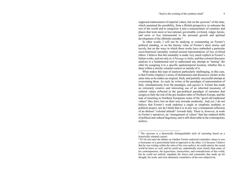supposed endorsement of imperial values, but on the *episteme*<sup>5</sup> of the time, which sustained the possibility, from a British perspective, to subsume the rest of the world and to categorize it into a nomenclature of countries and places that were more or less rational, governable, civilized, vulgar, heroic, and more or less instrumental to the personal growth and spiritual development of the (British) outsider.<sup>6</sup>

In other words, I will not be studying or commenting on Forster's political standing, or on the literary value of Forster's short stories and novels, but on the ways in which these works have embodied a particular socio-historical mentality centred around representations of less civilized others. I believe that this mentality is made very much explicit in Forster's Italian works, and not only in *A Passage to India*, and that colonial discourse analysis is a fundamental tool to understand any attempt at "taming" the other by assigning it to a specific spatiotemporal location, whether this is done within a strictly colonial context or outside of it.

What makes this type of analysis particularly challenging, in this case, is that Forster employs a series of dichotomies and discursive clichés at the same time as he makes an original, fresh, and partially successful attempt at overcoming them. As such, he writes *of* the paradigm of representation of Italy, simultaneously *from* the paradigm, and *against* it. Forster has made an extremely creative and interesting use of an inherited taxonomy of cultural values reflected in the geo-political paradigm of narration that assigns to Italy the role of the pre-modern other of Northern Europe, and the task of returning to Northern Europeans some of the "good old traditional values" they have lost on their way towards modernity. And yet, I do not believe that Forster's work endorses a single or simplistic aesthetic or political project, nor do I think that it is in any way a transparent reflection of an abstract "colonial attitude" towards Italy. There is, however, at work in Forster's narratives, an "arrangement of values" that has endured shifts of political and cultural hegemony and is still observable in the contemporary archive.

<sup>&</sup>lt;sup>5</sup> The *episteme* is a historically distinguishable style of reasoning based on a historically situated a priori.

<sup>&</sup>lt;sup>6</sup> If I do not enter the debate on whether Forster endorsed colonialist values or was a forerunner of a postcolonial kind of approach to the other, it is because I believe that he was writing within the rules of his own archive; he could satirize the social world he knew so well, and he could see, undoubtedly more clearly than many of his contemporaries, the hypocrisies, insincerities, and contradictions of this world, but he could not entirely repudiate the forces and constraints that made up his thought, his work, and were ultimately constitutive of his own subjectivity.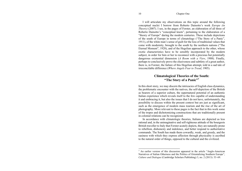I will articulate my observations on this topic around the following conceptual nuclei I borrow from Roberto Dainotto's work *Europe (in Theory)* (2007). I see, in the pages of Forster, an elaboration of all three of Roberto Dainotto's "conceptual knots", pertaining to the elaboration of a "theory of Europe" during the modern centuries. These include depictions of the south of Europe in terms of climatology ("The Story of a Panic", 1911), of the white man's sense of guilt for the loss of traditional values that come with modernity, brought to the south by the northern nations ("The Eternal Moment", 1928), and of the Hegelian approach to the other, whose exotic characteristics have to be sensibly incorporated by the modern subject, in order for him or her to reconnect with a precious but potentially dangerous existential dimension (*A Room with a View*, 1908). Finally, perhaps to conclusively prove the elusiveness and subtlety of a great author, there is, in Forster, the failure of this Hegelian attempt, told in a sad tale of irreconcilable difference (*Where Angels Fear to Tread*, 1905).

### **Climatological Theories of the South: "The Story of a Panic"<sup>7</sup>**

In this short story, we may discern the intricacies of English class dynamics, the problematic encounter with the natives, the self-depiction of the British as bearers of a superior culture, the supernatural potential of an authentic Italian experience which reveals itself to the few capable of understanding it and embracing it, but also the issues that I do not have, unfortunately, the possibility to discuss within the present context but are just as significant, such as the emergence of modern mass tourism and the rise of the art of photography. More relevant to these pages is the fact that in this work some of the tropes and dichotomizing constructions that are traditionally present in colonial relations can be recognized.

In accordance with climatologic theories, Italians are depicted as less rational and, in the unimaginative and self-righteous attitude of the bourgeois British traveller to Italy that Forster acutely depicts, they are naturally prone to rebellion, dishonesty and indolence, and better respond to authoritative commands. The South has made them cowardly, weak, and greedy, and the easiness with which they express affection through physicality is ascribed to the natural order of things, opposed to the cultural and the civilized.

<sup>7</sup> An earlier version of this discussion appeared in the article "Anglo-American Narratives of Italian Otherness and the Politics of Orientalizing Southern Europe", *Culture and Dialogue* (Cambridge Scholars Publishing) 3, no. 2 (2013): 53–69.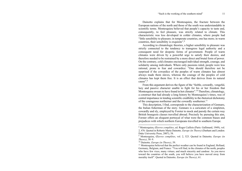Dainotto explains that for Montesquieu, the fracture between the European nations of the north and those of the south was understandable in scientific terms. Montesquieu believed that people's capacity to taste and, consequently, to feel pleasure, was strictly related to climate. This characteristic was less developed in colder climates, where people had "little sensibility to pleasure; in temperate countries, one has more; in warm countries, their sensibility is exquisite".<sup>8</sup>

According to climatologic theories, a higher sensibility to pleasure was strictly connected to the tendency to transgress legal authority and a consequent need for despotic forms of government. People of warm climates were driven by a powerful urge to satisfy their desires, and therefore needed to be restrained by a more direct and brutal form of power. On the contrary, cold climates encouraged individual strength, courage, and solidarity among individuals. Where only passions ruled, people were less rational, prone to fear and cowardice: "One should therefore not be surprised if the cowardice of the peoples of warm climates has almost always made them slaves, whereas the courage of the peoples of cold climates has kept them free. It is an effect that derives from its natural cause"<sup>9</sup>

From this argument derives the figure of the "feeble, cowardly, vengeful, lazy and passive character unable to fight for his or her freedom that Montesquieu swears to have found in hot climates".10 Therefore, climatology, a construct that had already a long history by Montesquieu's times, was of central importance in lending scientific credibility to the rhetorical dichotomy of the courageous northerner and the cowardly southerner.<sup>11</sup>

This description, I find, corresponds to the characterization of Gennaro, the Italian fisherman of the story. Gennaro is a caricature of a simpleton, cowardly and sly, employed by Forster to mock and parody the certain way British bourgeois classes travelled abroad. Precisely by pursuing this aim, Forster offers an eloquent portrayal of what were the common biases and prejudices with which northern Europeans travelled to southern Europe.

<sup>8</sup> Montesquieu, *Œuvres complètes*, ed. Roger Caillois (Paris: Gallimard, 1949), vol. 2, 476. Quoted in Roberto Maria Dainotto*, Europe (in Theory)* (Durham and London: Duke University Press, 2007), 58.

<sup>9</sup> Montesquieu, *Œuvres complètes*, vol. 2, 523. Quoted in Dainotto*, Europe (in Theory)*, 58–9.

<sup>10</sup> Dainotto*, Europe (in Theory)*, 59.

<sup>&</sup>lt;sup>11</sup> Montesquieu believed that the perfect weather can be found in England, Holland, Germany, Belgium, and France: "You will find, in the climates of the north, peoples who have few vices, many virtues, and much sincerity and candour. As you move toward the countries of the south, you will believe you have moved away from morality itself". Quoted in Dainotto*, Europe (in Theory)*, 61.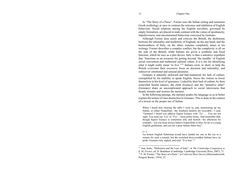In "The Story of a Panic", Forster uses the Italian setting and summons Greek mythology at once to contrast the reticence and inhibition of English behaviour. Social relations among the English travellers, governed by empty formalism, are placed in stark contrast with the values of spontaneity, impulsiveness, and unconstrained behaviour conveyed by Gennaro.

Although Forster does mock and criticize the British, the dichotomy between the rationality and modernity of England, on the one hand, and the backwardness of Italy, on the other, remains completely intact in his writings. Forster describes a complex conflict, but the complexity is all on the side of the British, while Italians are given a symbolic and fixed function, which he uses as a plot device. Italy is thus a narrative expedient that "functions as an occasion for getting beyond 'the muddle' of English social convention and traditional cultural values. It is a site for identifying what it might really mean 'to live.'"<sup>12</sup> Italians exist, in short, to help the British overcome their excessive focus on decorum and rationality, and rediscover emotional and sensual pleasures.

Gennaro is naturally awkward and bad-mannered; his lack of culture, exemplified by his inability to speak English, forces the visitors to lower themselves to his level of ignorance. Linked by their lack of culture, by their somewhat bestial natures, the child (Eustace) and the "primitive other" (Gennaro) share an uncomplicated approach to social intercourse that deeply irritates and worries the narrator.

In the following passage, the narrator grades his language so as to better explain the notion of class distinction to Gennaro. This is done in the context of a lesson on the proper use of Italian:

When I heard him clearing the table I went in, and, summoning up my Italian, or rather Neapolitan—the Southern dialects are execrable—I said, "Gennaro! I heard you address Signor Eustace with 'Tu'. … You are not right. You must use 'Lei' or 'Voi'—more polite forms. And remember that, though Signor Eustace is sometimes silly and foolish—his afternoon for example—yet you must always behave respectfully to him; for he is a young English gentleman, and you are a poor Italian fisher-boy".

[---]

An honest English fisherman would have landed me one in the eye in a minute for such a remark, but the wretched down-trodden Italians have no pride. Gennaro only sighed, and said: "It is true".13

<sup>12</sup> Ann Ardis, "Hellenism and the Lure of Italy", in *The Cambridge Companion to E. M. Forster*, ed. D. Bradshaw (Cambridge: Cambridge University Press, 2007), 71. 13 E. M. Forster, "The Story of a Panic", in *Collected Short Stories* (Harmondsworth: Penguin Books, 1954), 23.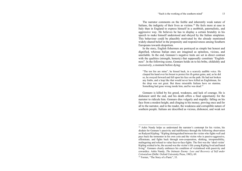The narrator comments on the feeble and inherently weak nature of Italians, the indignity of their lives as victims.<sup>14</sup> He feels more at ease in Italy than in England to express himself in a snobbish, paternalistic, and aggressive way. He believes he has to display a certain brutality in his speech to make himself understood and obeyed by the Italian simpleton. This behaviour could be plausibly motivated by the already mentioned widely-shared belief in the propensity and responsiveness among Southern Europeans towards despotism.

In the story, English fishermen are portrayed as simple but honest and dignified, whereas Italian ones are imagined as spineless, vicious, and unreliable. In the end, Gennaro's negative traits are set in direct contrast with the qualities (strength, honesty) that supposedly constitute "Englishness". In the following scene, Gennaro holds on to his bribe, childishly and excessively, a moment before dying:

"The ten lire are mine", he hissed back, in a scarcely audible voice. He clasped his hand over his breast to protect his ill-gotten gains, and, as he did so, he swayed forward and fell upon his face on the path. He had not broken any limbs, and a leap like that would never have killed an Englishman, for the drop was not great. But those miserable Italians have no stamina. Something had gone wrong inside him, and he was dead.<sup>15</sup>

Gennaro is killed by his greed, weakness, and lack of courage. He is dishonest until the end, and his death offers a final opportunity for the narrator to ridicule him. Gennaro dies vulgarly and stupidly: falling on his face from a modest height, and clinging to his money, proving once and for all to the narrator, and to the reader, the weakness and corruptible nature of southern people. Italians are described as vicious, dishonest, and weak not

<sup>&</sup>lt;sup>14</sup> Ashis Nandy helps us understand the narrator's contempt for his victim, his disdain for Gennaro's passivity and indifference through the following observation on Rudyard Kipling: "Kipling distinguished between the victim who fights well and pays back the tormentor in his own coin and the victim who is passive-aggressive, effeminate, and fights back through non-cooperation, shirking, irresponsibility, malingering and refusal to value face-to-face-fights. The first was the 'ideal victim' Kipling wished to be, the second was the victim's life young Kipling lived and hated living". Gennaro clearly embraces his condition of victimhood with passivity and cowardice. Ashis Nandy, *The Intimate Enemy: Loss and Recovery of Self under Colonialism* (Delhi: Oxford University Press, 1983), 69.

<sup>&</sup>lt;sup>15</sup> Forster, "The Story of a Panic", 33.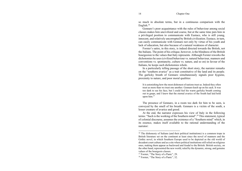so much in absolute terms, but in a continuous comparison with the English.16

Gennaro's poor acquaintance with the rules of behaviour among social classes makes him uncivilized and coarse, but at the same time puts him in a privileged position to communicate with Eustace, who is still young, innocent, and relatively uncorrupted by British civilization. Eustace, in turn, can easily communicate with Gennaro not only by virtue of his youth and lack of education, but also because of a natural weakness of character.

Forster's satire, in this story, is indeed directed towards the British, not the Italians. The point of his critique, however, is the blindness of the British bourgeoisie to the values that Italy represents. Although Forster reworks the dichotomies he uses (civilized behaviour vs. natural behaviour, manners and conventions vs. spontaneity, culture vs. nature, and so on) in favour of the Italians, he keeps such dichotomies whole.

In a particularly telling passage of the short story, the narrator remarks on the "southern avarice" as a trait constitutive of the land and its people. The garlicky breath of Gennaro simultaneously signals poor hygiene, proximity to nature, and poor moral qualities:

It is astonishing how the most dishonest of nations trust us. Indeed they often trust us more than we trust one another. Gennaro knelt up on his sack. It was too dark to see his face, but I could feel his warm garlicky breath coming out in gasps, and I knew that the eternal avarice of the South had laid hold upon him.<sup>17</sup>

The presence of Gennaro, in a room too dark for him to be seen, is conveyed by the smell of his breath. Gennaro is a victim of the south, a lesser creature of avarice and greed.

At the end, the narrator expresses his view of Italy in the following terms: "Such is the working of the Southern mind".18 This statement, typical of colonial discourse, assumes the existence of a "Southern mind" which, in its essence, makes itself available to the rational understanding of the narrator:

<sup>&</sup>lt;sup>16</sup> The dishonesty of Italians (and their political institutions) is a common trope in British literature set on the continent at least since the novel of manners and the Gothic novel, in which Southern Europe used to be depicted as the old world of decadent court culture and as a site where political institutions still relied on religious ones, making them appear as backward and feudal to the British. British society, on the other hand, represented the new world, ruled by the dynamic, strong, and genuine values of the bourgeois classes.

<sup>&</sup>lt;sup>17</sup> Forster, "The Story of a Panic", 29.

<sup>18</sup> Forster, "The Story of a Panic", 32.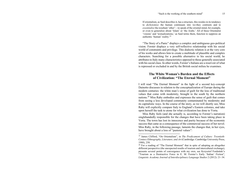If orientalism, as Said describes it, has a structure, this resides in its tendency to *dichotomize* the human continuum into we-they contrasts and to *essentialize* the resultant 'other'—to speak of the oriental mind, for example, or even to generalize about 'Islam' or 'the Arabs.' All of these Orientalist 'visions' and 'textualizations,' as Said terms them, function to suppress an authentic 'human' reality.19

"The Story of a Panic" displays a complex and ambiguous geo-political vision. Forster displays a very self-reflective relationship with his social world of constraints and privilege. This dialectic relation is at the very core of his works and allows him to create a multitude of plausible and complex characters. Searching for a possible alternative to his social world, he attributes to Italy many characteristics opposed to those generally associated with his social class. In other words, Forster's Italians are a reservoir of what is repressed or excluded in and by the British social milieu he examines.

### **The White Woman's Burden and the Effects of Civilization: "The Eternal Moment"**

I will read "The Eternal Moment" in the light of a second key-concept Dainotto discusses in relation to the conceptualization of Europe during the modern centuries: the white man's sense of guilt for the loss of traditional values that come with modernity, brought to the south by the northern nations.20 Miss Raby embodies and expresses the sense of guilt that comes from seeing a less developed community contaminated by modernity and its capitalistic ways. In the course of the story, as we will shortly see, Miss Raby will explicitly compare Italy to England's Eastern colonies, and take upon herself the task to atone for what civilization has done to Vorta.

Miss Raby feels (and she actually is, according to Forster's narration) singlehandedly responsible for the changes that have been taking place in Vorta. The town has lost its innocence and purity because of the economic success that came as a consequence of the commercial success of her novel. Miss Raby, in the following passage, laments the changes that, in her eyes, have brought about a loss of "pastoral values":

<sup>19</sup> James Clifford, "On Orientalism", in *The Predicament of Culture: Twentieth-Century Ethnography, Literature, and Art* (Cambridge: Cambridge University Press, 1988), 258.

<sup>&</sup>lt;sup>20</sup> For a reading of "The Eternal Moment" that in spite of adopting an altogether different perspective (the unexpected results of tourism and intercultural exchange), presents several points of convergence with my own, see Krzysztof Fordoński's "Tourism as a Destructive Force in E. M. Forster's Early 'Italian' Fiction", *Linguistic Academy Journal of Interdisciplinary Language Studies* 2 (2012): 21–34.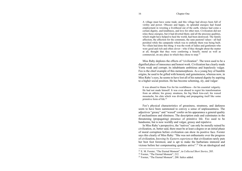#### Chapter One

A village must have some trade; and this village had always been full of virility and power. Obscure and happy, its splendid energies had found employment in wresting a livelihood out of the earth, whence had come a certain dignity, and kindliness, and love for other men. Civilization did not relax these energies, but it had diverted them; and all the precious qualities, which might have helped to heal the world, had been destroyed. The family affection, the affection for the commune, the sane pastoral values—all had perished while the campanile which was to embody them was being built. No villain had done this thing: it was the work of ladies and gentlemen who were good and rich and often clever—who if they thought about the matter at all, thought that they were conferring a benefit, moral as well as commercial, on any place in which they chose to stop.21

Miss Raby deplores the effects of "civilization". The town used to be a dignified place of innocence and honest work. Civilization has clearly made Vorta weak and corrupt; its inhabitants ambitious and hopelessly vulgar. Feo is the chief example of this metamorphosis. As a young boy of humble origins, he used to be gifted with honesty and genuineness, whereas now, in Miss Raby's eyes, he seems to have lost all of his natural dignity by aspiring to a higher social position. He has become scheming, sly, and vulgar:

It was absurd to blame Feo for his worldliness—for his essential vulgarity. He had not made himself. It was even absurd to regret his transformation from an athlete; his greasy stoutness, his big black kiss-curl, his waxed moustache, his chin which was dividing and propagating itself like some primitive form of life.<sup>22</sup>

Feo's physical characteristics of greasiness, stoutness, and darkness seem to have been summoned to convey a sense of unpleasantness. The adjectives "greasy" and "waxed" confer on his appearance a general quality of uncleanliness and sliminess. The description ends and culminates in the threatening (propagating) presence of primitive life. Feo used to be handsome, but is now worldly and vulgar, greasy and repulsive.

In Miss Raby's perspective, the "natives" can only be morally ruined by civilization, or, better said, there must be at least a degree or an initial phase of moral corruption before civilization can show its positive face. Forster says this clearly of Miss Raby: "She was not enthusiastic over the progress of civilization, *knowing by Eastern experiences* that civilization rarely puts her best foot foremost, and is apt to make the barbarians immoral and vicious before her compensating qualities arrive".23 On an ideological and

<sup>21</sup> E. M. Forster, "The Eternal Moment", in *Collected Short Stories*, 205.

<sup>22</sup> Forster, "The Eternal Moment", 212.

<sup>23</sup> Forster, "The Eternal Moment", 200. Italics added.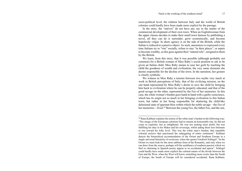socio-political level, the relation between Italy and the world of British colonies could hardly have been made more explicit by the passage.

In the story, the "natives" do not have any say in the matter of the commercial development of their own town. When an Englishwoman from the upper classes decides to make their small town famous by publishing a novel, all they can do is surrender, grow economically, and become hopelessly vulgar. In short, agency is on the side of the British, while the Italian is reduced to a passive object. As such, uneasiness is expressed every time Italians try to "rise" socially, refuse to stay "in their places", or aspire to become wealthy, as this goes against their "natural role", assigned to them by the British.

We learn, from this story, that it was possible (although probably not common) for a British woman of Miss Raby's social position to ask to be given an Italian child. Miss Raby means to ease her guilt by teaching the child the goodness of wealth and civilization, the very same elements she deems responsible for the decline of the town. In the narration, her gesture is clearly symbolic.

We witness in Miss Raby a tension between two myths very much at work in British perceptions of Italy: that of the civilizing mission, on the one hand represented by Miss Raby's desire to save the child by bringing him back to civilization where he can be properly educated, and that of the good savage on the other, represented by the Feo of her memories. In this case, the white woman's burden goes hand in hand with a guilty conscience, which has its origin not so much in her bringing civilization to this Italian town, but rather in her being responsible for shattering the child-like delusional state of ignorant bliss within which the noble savage—the Feo of her memories—lived.<sup>24</sup> Between the young Feo, the father Feo, and the son,

 $24$  Rana Kabbani explains the notion of the white man's burden in the following way: "The image of the European colonizer had to remain an honourable one: he did not come as exploiter, but as enlightener. He was not seeking mere profit, but was fulfilling his duty to his Maker and his sovereign, whilst aiding those less fortunate to rise toward his lofty level. This was the white man's burden, that reputable colonial *malaise* that sanctioned the subjugating of entire continents". Kabbani detects the hierarchical accommodation of the Orient and Southern Europe in a single universal hierarchy of exoticism, when she quotes Friedrich Schlegel: "In the Orient we must look for the most sublime form of the Romantic, and only when we can draw from the source, perhaps will the semblance of southern passion which we find so charming in Spanish poetry appear to us occidental and sparse". Schlegel could hardly have made more explicit the cultural nature of the divide between the East and the West: when the West will know something more exotic than the South of Europe, the South of Europe will be considered occidental. Rana Kabbani,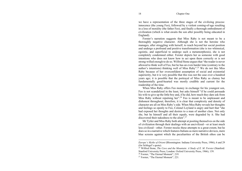we have a representation of the three stages of the civilizing process: innocence (the young Feo), followed by a violent coming-of-age resulting in a loss of morality (the father Feo), and finally a thorough embodiment of civilization (which is what awaits the son after possibly being educated in England).

Forster's narration suggests that Miss Raby is not meant to be a thoroughly negative character. Although she is not the heroine who manages, after struggling with herself, to reach beyond her social position and undergo a profound and positive transformation (she is too whimsical, egoistic, and superficial to undergo such a metamorphosis), she is not completely condemned either. Forster depicts her as someone with good intentions who does not know how to act upon them correctly or is not strong-willed enough to do so. Wilfred Stone argues that "the reader is never allowed to think well of Feo, but he has an even harder time (contrary to the author's intentions) thinking well of Miss Raby".25 We do not like Miss Raby because of her overconfident assumption of social and existential superiority, but it is very possible that this was not the case over a hundred years ago; it is possible that the portrayal of Miss Raby as clumsy but fundamentally good-hearted was mostly credible and current for the readership of the time.

When Miss Raby offers Feo money in exchange for his youngest son, Feo is not scandalized in the least, but asks himself "if he could persuade his wife to give up the little boy and, if he did, how much they dare ask from Miss Raby without repulsing her".<sup>26</sup> Feo is meant to be unpleasant and dishonest throughout; therefore, it is clear that complexity and density of character are all on Miss Raby's side. When Miss Raby reveals her thoughts and feelings so openly to Feo, Colonel Leyland is angry and hurt that "she had exposed her thoughts and desires to a man of another class. Not only she, but he himself and all their equals, were degraded by it. She had discovered their nakedness to the alien".<sup>27</sup>

Mr Tytler and Miss Raby both attempt at positing themselves on the side of civilization through their dealings with an uncivilized—or at least much less civilized—other. Forster mocks these attempts to a great extent, but he does so in a narrative which features Italians as mere narrative devices, mere blue screens against which the peculiarities of the British ethos can be

26 Forster, "The Eternal Moment", 219.

*Europe's Myths of Orient* (Bloomington: Indiana University Press, 1986), 6 and 29 (for Schlegel's quote).

<sup>25</sup> Wilfred Stone, *The Cave and the Mountain: A Study of E. M. Forster* (Stanford: Stanford University Press; London: Oxford University Press, 1966), 139.

<sup>27</sup> Forster, "The Eternal Moment", 221.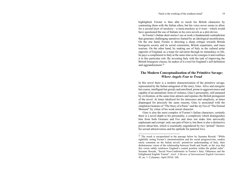highlighted. Forster is thus able to mock his British characters by contrasting them with the Italian ethos, but his voice never seems to allow for a second layer of mockery—a meta-mockery as it were—which would have questioned the use of Italians in his own novels as a plot device.

In Forster's Italian short stories I see at work a fundamental contradiction that generates challenging narratives framed by an ideological mystification. On the one hand, Forster is directing a sharp critique towards British bourgeois society and its social constraints, British expatriates, and mass tourism. On the other hand, by making use of Italy as the cultural polar opposite of England, as a trope for salvation through its immediacy to life, he pays a compliment to Italy at the same time as he consigns it and confines it to this particular role. By investing Italy with the task of improving the British bourgeois classes, he makes of it a tool for England's self-definition and aggrandizement.<sup>28</sup>

### **The Modern Conceptualization of the Primitive Savage:**  *Where Angels Fear to Tread*

In this novel there is a modern characterization of the primitive savage, represented by the Italian antagonist of the story, Gino. Alive and energetic but coarse, intelligent but greedy and unrefined, prone to aggressiveness and capable of an animalistic form of violence, Gino's personality, still untamed by civilization, at the same time attracts and repulses the British protagonist of the novel. At times idealized for his innocence and simplicity, at times disparaged for precisely the same reasons, Gino is associated with the simpleton Gennaro of "The Story of a Panic" and the sly Feo of "The Eternal Moment" by virtue of his weak moral character.

Gino is also the most complex of Forster's Italian characters; certainly there is a novel depth to his personality, a complexity which distinguishes him from both Gennaro and Feo and does not make him univocally unpleasant and corrupt: only one part of him is, but there is also a distinctive power about him, which is essentially engendered by two "primal" factors: his sexual attractiveness and his aptitude for paternal love.

<sup>&</sup>lt;sup>28</sup> The result is encapsulated in the passage below by Suzanne Roszak: "While rightfully noting Forster's internationalism and his social progressivism, readers rarely comment on the Italian novels' primitivist understanding of Italy, their dichotomous vision of the relationship between North and South, or the way that this vision subtly reinforces England's central position within the global order". Suzanne Roszak, "Social Non-Conformists in Forster's Italy: Otherness and the Enlightened English Tourist", *Ariel: A Review of International English Literature* 45, no. 1–2 (January–April 2014): 168.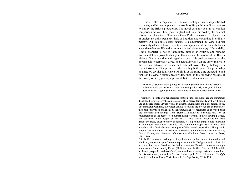#### Chapter One

Gino's calm acceptance of human feelings, his unsophisticated character, and his uncomplicated approach to life put him in direct contrast to Philip, the British protagonist. The novel certainly sets up an explicit comparison between bourgeois England and Italy mirrored by the contrast between the characters of Philip and Gino. Philip is characterized by a series of unpleasant traits: pedantry, lack of intuition, and cowardice in ordinary matters. All this intellectual density is counteracted by Gino's direct personality which is, however, at times ambiguous, as it fluctuates between a positive talent for life and an animalistic and violent energy.<sup>29</sup> Essentially, Gino's character is not as thoroughly defined as Philip's, and remains instrumental to a possible change in the souls and behaviour of the British visitors. Gino's positive and negative aspects (his positive energy, on the one hand, his coarseness, greed, and aggressiveness, on the other) related to the tension between sexuality and paternal love, clearly belong to a characterization of the primitive other, as they both speak of a personality untamed by civilization. Hence, Philip is at the same time attracted to and repulsed by Gino,<sup>30</sup> simultaneously described, in the following passage of the novel, as dirty, greasy, unpleasant, but nevertheless attractive:

The face of Signor Carella [Gino] was twitching too much for Philip to study it. But he could see the hands, which were not particularly clean, and did not get cleaner by fidgeting amongst the shining slabs of hair. His starched cuffs

<sup>&</sup>lt;sup>29</sup> "Primitive" people are often idealized for their supposed innocence and sometimes disparaged for precisely the same reason. Their scarce familiarity with civilization and cultivated moral virtues results in general deviousness and a propensity to lie. The simpleton Gennaro, the vulgar dentist's son, and the sly Feo are connected by their propensity to lie and cheat, by their impulsiveness, meanness, and by their basic and uncomplicated feelings. John Stuart Mill explicitly attributes this sort of characteristics to the peoples of Southern Europe, whom, in the following passage, are associated to the people of "the East": "This kind of cruelty is not mere hardheartedness, absence of pity or remorse, it is a positive thing; a particular kind of voluptuous excitement. The East, and Southern Europe, have afforded, and probably still afford, abundant examples of this hateful propensity". The quote is reported in David Spurr, *The Rhetoric of Empire: Colonial Discourse in Journalism, Travel Writing, and Imperial Administration* (Durham: Duke University Press, 1993), 160.

<sup>&</sup>lt;sup>30</sup> In D. H. Lawrence's writings on Italy there is a similar pattern of attraction and repulsion, a typical trope of colonial representation. In *Twilight in Italy* (1916), for instance, Lawrence describes the Italian character Faustino in terms strongly reminiscent of those used by Forster (Philip) to describe Gino Carella: "All the while his beauty, so perfect and so defined, fascinated me, a strange perfection about him. But his movements, whilst they fascinated, also repelled". D. H. Lawrence, *Twilight in Italy* (London and New York: Tauris Parke Paperbacks, 2015), 125.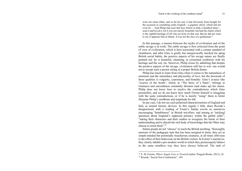were not clean either, and as for his suit, it had obviously been bought for the occasion as something really English—a gigantic check, which did not even fit…. And Philip had seen that face before in Italy a hundred times seen it and loved it, for it was not merely beautiful, but had the charm which is the rightful heritage of all who are born on that soil. But he did not want to see it opposite him at dinner. It was not the face of a gentleman.<sup>31</sup>

In this passage, a tension between the myths of civilization and of the noble savage is at work. The noble savage is first criticized from the point of view of civilization, which is here associated with a certain standard of cleanliness, and after Gino is gently but unequivocally mocked for aping British social habits, the positive aspects of his savage nature are finally pointed out: he is beautiful, charming, in existential symbiosis with his heritage and the soil, etc. However, Philip closes by admitting that despite the positive aspects of the savage, civilization still has to win: one would never accept such a person sitting at a proper British dinner.

Philip has much to learn from Gino when it comes to the naturalness of emotions and the immediacy and physicality of love, but the downside of these qualities is vulgarity, coarseness, and brutality. Gino's avarice (the "avarice of the South", which, in "The Story of a Panic", belongs to Gennaro) and uncouthness constantly threaten (and make up) his charm. Philip does not know how to resolve the contradictions which Gino personifies, and we do not know how much Forster himself is struggling with the same contradictions, or if he is merely "using" them to better illustrate Philip's snobbism and ineptitude for life.

In any case, I do not see such polarized characterizations of England and Italy as neutral literary devices. In this regard, I fully share Roszak's disagreement with a reading of Foster's Italian novels as narratives encouraging "humbleness" in British travellers, and aiming at "rais[ing] questions about England's supposed primacy within the global order"; "asking their characters and their readers to recognize the limits of their understanding and to absorb the rich body of knowledge that the Other may choose to teach them".<sup>32</sup>

Italian people do not "choose" to teach the British anything. Thoroughly unaware of the pedagogic task that has been assigned to them, they act as simple-minded but potentially treacherous creatures, at all times oblivious to the effect of their behaviour on the British visitors. In Forster's narratives, they clearly inhabit a pre-modern world in which they picturesquely behave in the same mindless way they have always behaved. The task of

<sup>31</sup> E. M. Forster, *Where Angels Fear to Tread* (London: Penguin Books, 2012), 24.

<sup>32</sup> Roszak, "Social Non-Conformists", 169.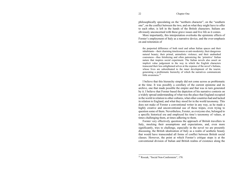Chapter One

philosophically speculating on the "northern character", on the "southern one", on the conflict between the two, and on what they might have to offer to each other, is left in the hands of the British characters. Italians are obviously unconcerned with these grave issues and live life as it comes.

More importantly, this interpretation overlooks the epistemic effects of Forster's employment of Italy as a narrative device, and the over-emphasis on and reiteration of

the purported difference of both rural and urban Italian spaces and their inhabitants—their charming timelessness or anti-modernity; their dangerous natural beauty; their primal, animalistic violence; and their unabashed coarseness—thus fetishizing and often patronizing the 'primitive' Italian nature that inspires social experiment. The Italian novels also assert an implicit value judgement in the way in which the English characters transcend their less enlightened selves at the expense of the novel's Italians, whose lives are subordinated to the inner development of the tourist, generating a problematic hierarchy of which the narratives communicate little awareness.<sup>33</sup>

I believe that this hierarchy simply did not come across as problematic at the time. It was possibly a corollary of the current episteme and its archive, one that made possible the empire and that was in turn generated by it. I believe that Forster based the depiction of his narrative contexts on a widely spread understanding of what was the place that England occupied in the world in relation to other cultures, what other countries had and lacked in relation to England, and what they stood for in the world taxonomy. This does not make of Forster a conventional writer in any way, as he made a highly creative and unconventional use of these tropes, even trying to question some of them. Nevertheless, Forster, as everyone else, belonged to a specific historical era and employed his time's taxonomy of values, at times challenging them, at times adhering to them.

Forster very effectively questions the approach of British travellers to Italy, mocking their assumptions and expectations, and, even more significantly, tries to challenge, especially in the novel we are presently discussing, the British idealization of Italy as a realm of aesthetic beauty that would have transcended all forms of conflict between British social classes. However, the point at which Forster's critique stops is at the conventional division of Italian and British realms of existence along the

<sup>33</sup> Roszak, "Social Non-Conformists", 170.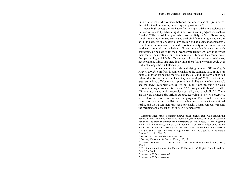lines of a series of dichotomies between the modern and the pre-modern, the intellect and the senses, rationality and passion, etc. $34$ 

Interestingly enough, critics have often downplayed the role assigned by Forster to Italians by subsuming it under well-meaning adjectives such as "earthy".35 The British bourgeois who travels to Italy, as Miss Abbott does, "to champion morality and purity, and the holy life of an English home", or as Philip does, "as an emissary of civilization and as a student of character", is seldom put in relation to the wider political reality of the empire which produced the civilizing mission.<sup>36</sup> Forster undoubtedly satirizes such characters, but he does so for their incapacity to learn from Italy, to cultivate their hearts, their instincts, and their passions, or because they cannot seize the opportunity, which Italy offers, to get to know themselves a little better, not because he thinks that there is anything there (in Italy) which could ever really challenge them intellectually.

Claude J. Summers writes that "the underlying sadness of *Where Angels Fear to Tread* stems from its apprehension of the atomized self, of the near impossibility of connecting the intellect, the soul, and the body, either in a balanced individual or in complementary relationships".37 "Just as the three great attractions of Monteriano's piazza<sup>38</sup> symbolize the intellect, the soul, and the body", Summers argues, "so do Philip, Caroline, and Gino also represent these parts of an entire person".39 "Throughout the book", he adds, "Gino is associated with unconscious sexuality and physicality".<sup>40</sup> These are the very elements that British culture, according to its own perception, has lost on its way to modernity and progress. The British male hero represents the intellect, the British female heroine represents the emotional realm, and the Italian man represents physicality. Rana Kabbani explains the meaning and consequences of such a perspective:

<sup>&</sup>lt;sup>34</sup> Elisabetta Girelli makes a similar point when she observes that "while denouncing traditional British notions of Italy as a fabrication, the narrative relies on an essential Italian-ness to provide a mirror for the problems of British-ness, effectively giving the films, like the novels, a double shell structure: an unacknowledged construction within the construction". "Beauty and the Beast: The construction of Italianness in *A Room with A View* and *Where Angels Fear To Tread*", *Studies in European Cinema* 3, no. 1 (2006): 28.

<sup>35</sup> Stone, *The Cave and the Mountain*, 162.

<sup>36</sup> Forster, *Where Angels Fear to Tread*, 102, 121.

<sup>37</sup> Claude J. Summers, *E. M. Forster* (New York: Frederick Ungar Publishing, 1983), 40–41.

<sup>&</sup>lt;sup>38</sup> The three attractions are the Palazzo Pubblico, the Collegiate Church, and the Caffe' Garibaldi.

<sup>39</sup> Summers, *E. M. Forster*, 40.

<sup>40</sup> Summers, *E. M. Forster*, 41.